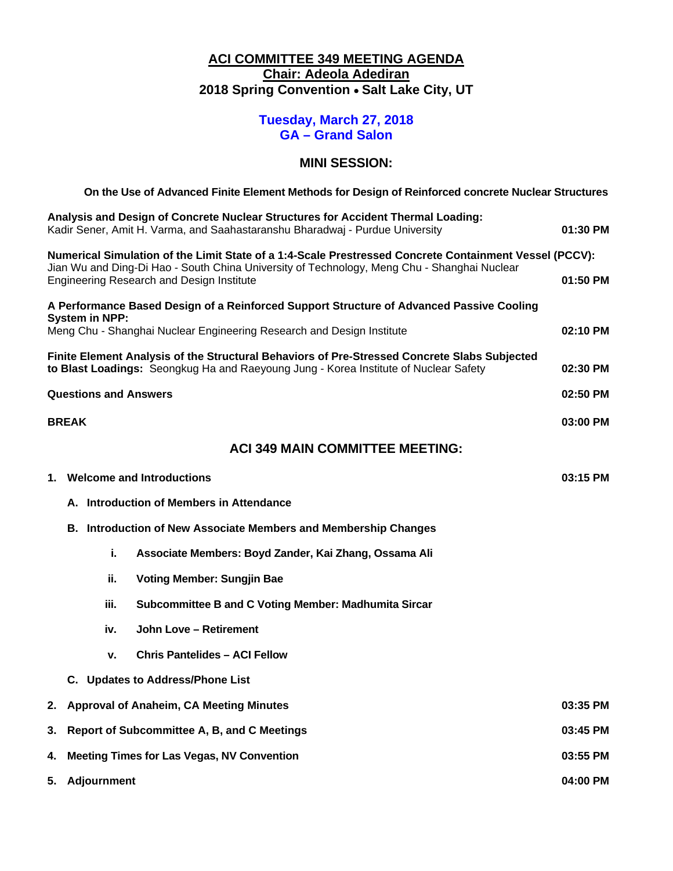### **ACI COMMITTEE 349 MEETING AGENDA Chair: Adeola Adediran 2018 Spring Convention** • **Salt Lake City, UT**

## **Tuesday, March 27, 2018 GA – Grand Salon**

#### **MINI SESSION:**

|                                                                                                                                                      | On the Use of Advanced Finite Element Methods for Design of Reinforced concrete Nuclear Structures                                                                                   |          |  |  |  |
|------------------------------------------------------------------------------------------------------------------------------------------------------|--------------------------------------------------------------------------------------------------------------------------------------------------------------------------------------|----------|--|--|--|
|                                                                                                                                                      | Analysis and Design of Concrete Nuclear Structures for Accident Thermal Loading:<br>Kadir Sener, Amit H. Varma, and Saahastaranshu Bharadwaj - Purdue University                     | 01:30 PM |  |  |  |
|                                                                                                                                                      | Numerical Simulation of the Limit State of a 1:4-Scale Prestressed Concrete Containment Vessel (PCCV):                                                                               |          |  |  |  |
| Jian Wu and Ding-Di Hao - South China University of Technology, Meng Chu - Shanghai Nuclear<br>Engineering Research and Design Institute<br>01:50 PM |                                                                                                                                                                                      |          |  |  |  |
|                                                                                                                                                      | A Performance Based Design of a Reinforced Support Structure of Advanced Passive Cooling<br><b>System in NPP:</b>                                                                    |          |  |  |  |
|                                                                                                                                                      | Meng Chu - Shanghai Nuclear Engineering Research and Design Institute                                                                                                                | 02:10 PM |  |  |  |
|                                                                                                                                                      | Finite Element Analysis of the Structural Behaviors of Pre-Stressed Concrete Slabs Subjected<br>to Blast Loadings: Seongkug Ha and Raeyoung Jung - Korea Institute of Nuclear Safety | 02:30 PM |  |  |  |
| <b>Questions and Answers</b><br>02:50 PM                                                                                                             |                                                                                                                                                                                      |          |  |  |  |
|                                                                                                                                                      | <b>BREAK</b>                                                                                                                                                                         | 03:00 PM |  |  |  |
|                                                                                                                                                      | <b>ACI 349 MAIN COMMITTEE MEETING:</b>                                                                                                                                               |          |  |  |  |
|                                                                                                                                                      | 1. Welcome and Introductions<br>03:15 PM                                                                                                                                             |          |  |  |  |
|                                                                                                                                                      | A. Introduction of Members in Attendance                                                                                                                                             |          |  |  |  |
|                                                                                                                                                      | <b>B. Introduction of New Associate Members and Membership Changes</b>                                                                                                               |          |  |  |  |
|                                                                                                                                                      | i.<br>Associate Members: Boyd Zander, Kai Zhang, Ossama Ali                                                                                                                          |          |  |  |  |
|                                                                                                                                                      | ii.<br><b>Voting Member: Sungjin Bae</b>                                                                                                                                             |          |  |  |  |
|                                                                                                                                                      | iii.<br><b>Subcommittee B and C Voting Member: Madhumita Sircar</b>                                                                                                                  |          |  |  |  |
|                                                                                                                                                      | John Love - Retirement<br>iv.                                                                                                                                                        |          |  |  |  |
|                                                                                                                                                      | <b>Chris Pantelides - ACI Fellow</b><br>v.                                                                                                                                           |          |  |  |  |
|                                                                                                                                                      | C. Updates to Address/Phone List                                                                                                                                                     |          |  |  |  |
| 2.                                                                                                                                                   | <b>Approval of Anaheim, CA Meeting Minutes</b><br>03:35 PM                                                                                                                           |          |  |  |  |
| 3.                                                                                                                                                   | Report of Subcommittee A, B, and C Meetings<br>03:45 PM                                                                                                                              |          |  |  |  |
| 4.                                                                                                                                                   | <b>Meeting Times for Las Vegas, NV Convention</b><br>03:55 PM                                                                                                                        |          |  |  |  |
| 5.                                                                                                                                                   | <b>Adjournment</b><br>04:00 PM                                                                                                                                                       |          |  |  |  |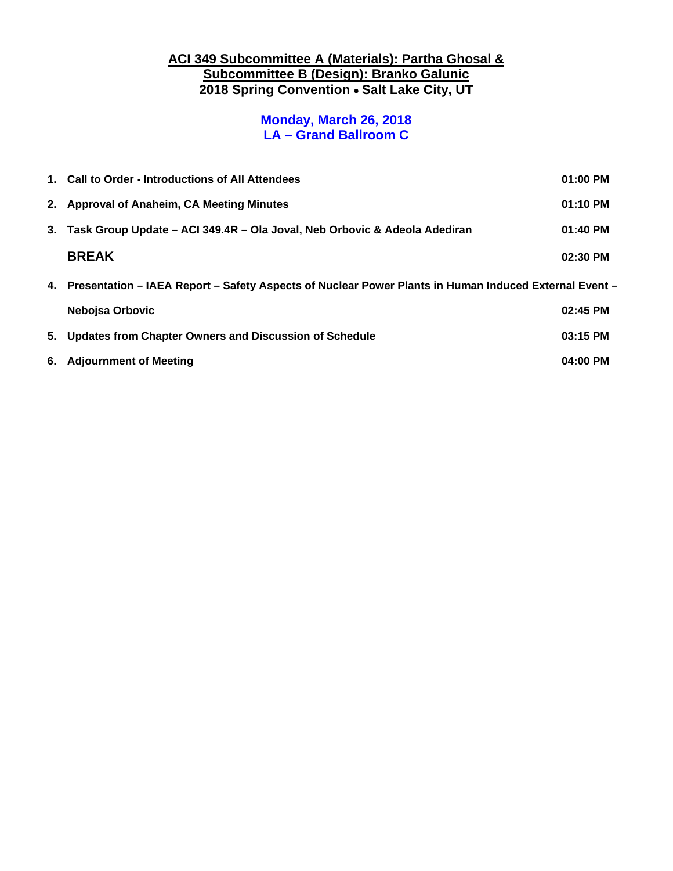### **ACI 349 Subcommittee A (Materials): Partha Ghosal & Subcommittee B (Design): Branko Galunic 2018 Spring Convention** • **Salt Lake City, UT**

## **Monday, March 26, 2018 LA – Grand Ballroom C**

| 1. Call to Order - Introductions of All Attendees<br>01:00 PM                                            |          |  |
|----------------------------------------------------------------------------------------------------------|----------|--|
| 2. Approval of Anaheim, CA Meeting Minutes                                                               | 01:10 PM |  |
| 3. Task Group Update – ACI 349.4R – Ola Joval, Neb Orbovic & Adeola Adediran                             | 01:40 PM |  |
| <b>BREAK</b>                                                                                             | 02:30 PM |  |
| 4. Presentation – IAEA Report – Safety Aspects of Nuclear Power Plants in Human Induced External Event – |          |  |
|                                                                                                          |          |  |
| Nebojsa Orbovic                                                                                          | 02:45 PM |  |
| 5. Updates from Chapter Owners and Discussion of Schedule                                                | 03:15 PM |  |